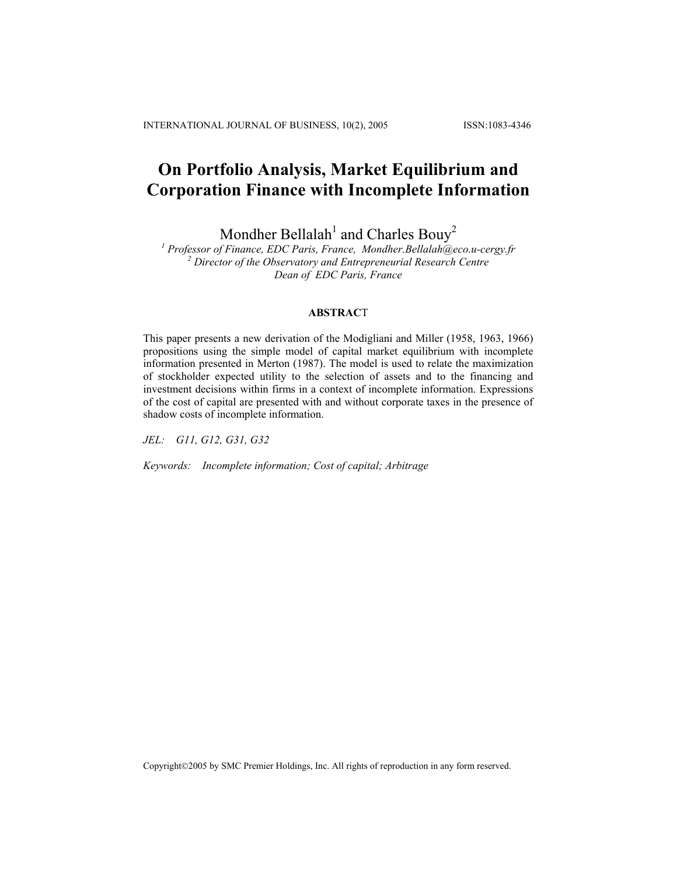# **On Portfolio Analysis, Market Equilibrium and Corporation Finance with Incomplete Information**

Mondher Bellalah<sup>1</sup> and Charles Bouy<sup>2</sup><br><sup>1</sup> Professor of Finance, EDC Paris, France, [Mondher.Bellalah@eco.u-cergy.fr](mailto:Mondher.Bellalah@eco.u-cergy.fr)  *Director of the Observatory and Entrepreneurial Research Centre Dean of EDC Paris, France* 

## **ABSTRAC**T

This paper presents a new derivation of the Modigliani and Miller (1958, 1963, 1966) propositions using the simple model of capital market equilibrium with incomplete information presented in Merton (1987). The model is used to relate the maximization of stockholder expected utility to the selection of assets and to the financing and investment decisions within firms in a context of incomplete information. Expressions of the cost of capital are presented with and without corporate taxes in the presence of shadow costs of incomplete information.

*JEL: G11, G12, G31, G32* 

*Keywords: Incomplete information; Cost of capital; Arbitrage* 

Copyright©2005 by SMC Premier Holdings, Inc. All rights of reproduction in any form reserved.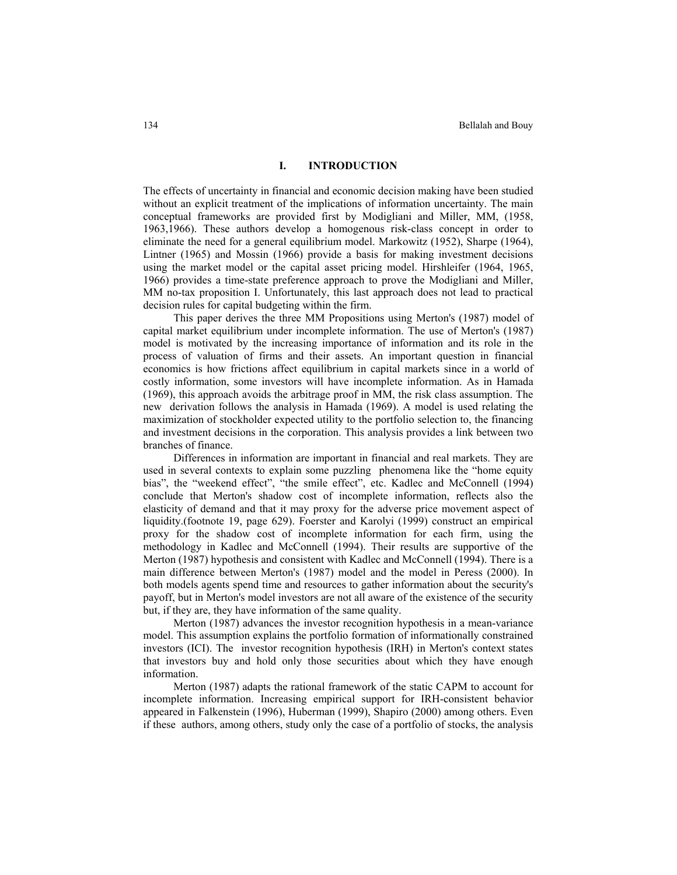## **I. INTRODUCTION**

The effects of uncertainty in financial and economic decision making have been studied without an explicit treatment of the implications of information uncertainty. The main conceptual frameworks are provided first by Modigliani and Miller, MM, (1958, 1963,1966). These authors develop a homogenous risk-class concept in order to eliminate the need for a general equilibrium model. Markowitz (1952), Sharpe (1964), Lintner (1965) and Mossin (1966) provide a basis for making investment decisions using the market model or the capital asset pricing model. Hirshleifer (1964, 1965, 1966) provides a time-state preference approach to prove the Modigliani and Miller, MM no-tax proposition I. Unfortunately, this last approach does not lead to practical decision rules for capital budgeting within the firm.

This paper derives the three MM Propositions using Merton's (1987) model of capital market equilibrium under incomplete information. The use of Merton's (1987) model is motivated by the increasing importance of information and its role in the process of valuation of firms and their assets. An important question in financial economics is how frictions affect equilibrium in capital markets since in a world of costly information, some investors will have incomplete information. As in Hamada (1969), this approach avoids the arbitrage proof in MM, the risk class assumption. The new derivation follows the analysis in Hamada (1969). A model is used relating the maximization of stockholder expected utility to the portfolio selection to, the financing and investment decisions in the corporation. This analysis provides a link between two branches of finance.

Differences in information are important in financial and real markets. They are used in several contexts to explain some puzzling phenomena like the "home equity bias", the "weekend effect", "the smile effect", etc. Kadlec and McConnell (1994) conclude that Merton's shadow cost of incomplete information, reflects also the elasticity of demand and that it may proxy for the adverse price movement aspect of liquidity.(footnote 19, page 629). Foerster and Karolyi (1999) construct an empirical proxy for the shadow cost of incomplete information for each firm, using the methodology in Kadlec and McConnell (1994). Their results are supportive of the Merton (1987) hypothesis and consistent with Kadlec and McConnell (1994). There is a main difference between Merton's (1987) model and the model in Peress (2000). In both models agents spend time and resources to gather information about the security's payoff, but in Merton's model investors are not all aware of the existence of the security but, if they are, they have information of the same quality.

Merton (1987) advances the investor recognition hypothesis in a mean-variance model. This assumption explains the portfolio formation of informationally constrained investors (ICI). The investor recognition hypothesis (IRH) in Merton's context states that investors buy and hold only those securities about which they have enough information.

Merton (1987) adapts the rational framework of the static CAPM to account for incomplete information. Increasing empirical support for IRH-consistent behavior appeared in Falkenstein (1996), Huberman (1999), Shapiro (2000) among others. Even if these authors, among others, study only the case of a portfolio of stocks, the analysis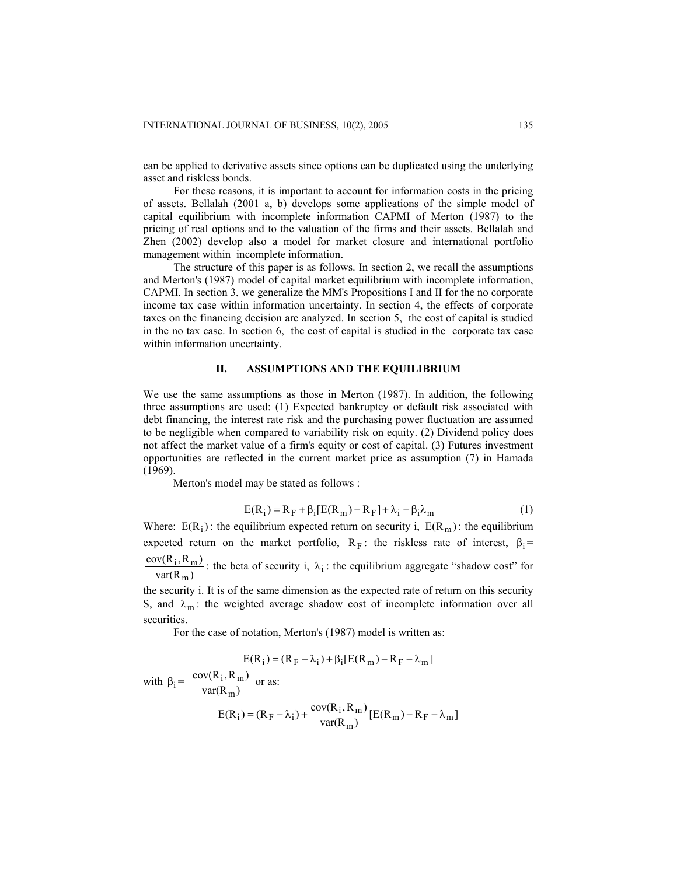can be applied to derivative assets since options can be duplicated using the underlying asset and riskless bonds.

For these reasons, it is important to account for information costs in the pricing of assets. Bellalah (2001 a, b) develops some applications of the simple model of capital equilibrium with incomplete information CAPMI of Merton (1987) to the pricing of real options and to the valuation of the firms and their assets. Bellalah and Zhen (2002) develop also a model for market closure and international portfolio management within incomplete information.

The structure of this paper is as follows. In section 2, we recall the assumptions and Merton's (1987) model of capital market equilibrium with incomplete information, CAPMI. In section 3, we generalize the MM's Propositions I and II for the no corporate income tax case within information uncertainty. In section 4, the effects of corporate taxes on the financing decision are analyzed. In section 5, the cost of capital is studied in the no tax case. In section 6, the cost of capital is studied in the corporate tax case within information uncertainty.

## **II. ASSUMPTIONS AND THE EQUILIBRIUM**

We use the same assumptions as those in Merton (1987). In addition, the following three assumptions are used: (1) Expected bankruptcy or default risk associated with debt financing, the interest rate risk and the purchasing power fluctuation are assumed to be negligible when compared to variability risk on equity. (2) Dividend policy does not affect the market value of a firm's equity or cost of capital. (3) Futures investment opportunities are reflected in the current market price as assumption (7) in Hamada (1969).

Merton's model may be stated as follows :

$$
E(R_i) = R_F + \beta_i [E(R_m) - R_F] + \lambda_i - \beta_i \lambda_m
$$
 (1)

Where:  $E(R_i)$ : the equilibrium expected return on security i,  $E(R_m)$ : the equilibrium expected return on the market portfolio,  $R_F$ : the riskless rate of interest,  $\beta_i$  =  $R_m$ )  $(R_m)$ m m  $\frac{\text{cov}(R_i, R_m)}{\text{var}(R_m)}$ : the beta of security i,  $\lambda_i$ : the equilibrium aggregate "shadow cost" for

the security i. It is of the same dimension as the expected rate of return on this security S, and  $\lambda_m$ : the weighted average shadow cost of incomplete information over all securities.

For the case of notation, Merton's (1987) model is written as:

$$
E(R_i) = (R_F + \lambda_i) + \beta_i [E(R_m) - R_F - \lambda_m]
$$

with  $\beta_i = \frac{\text{cov}(R_i, R_m)}{\text{var}(R_m)}$ m  $\frac{i, K_m j}{n}$  or as:

$$
E(R_i) = (R_F + \lambda_i) + \frac{\text{cov}(R_i, R_m)}{\text{var}(R_m)} [E(R_m) - R_F - \lambda_m]
$$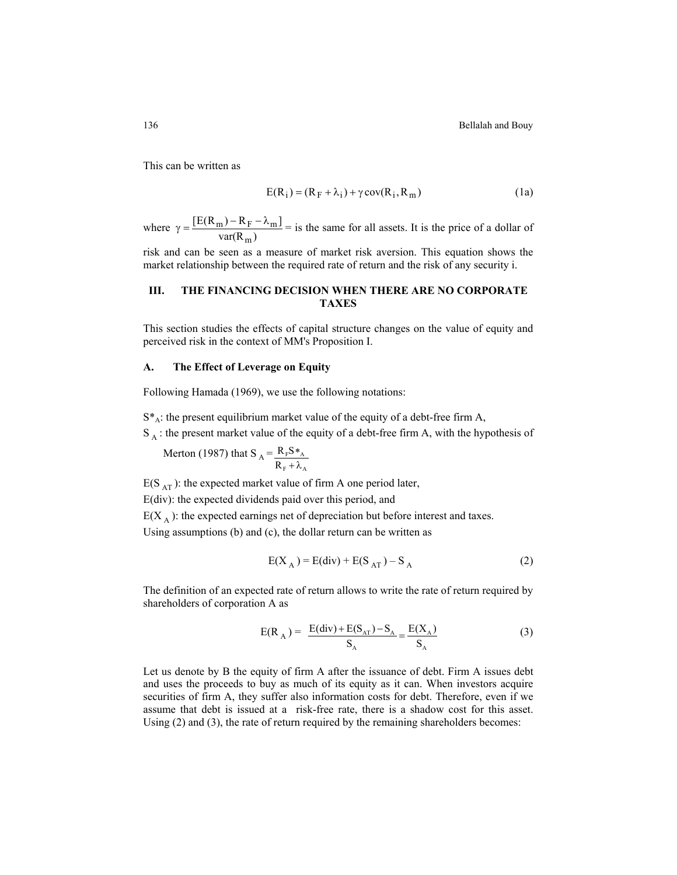This can be written as

$$
E(R_i) = (R_F + \lambda_i) + \gamma cov(R_i, R_m)
$$
 (1a)

where  $\gamma = \frac{L L (R_m) - R_F}{var(R_m)}$  $\left[\text{E(R}_{\text{m}}) - \text{R}_{\text{F}} - \lambda_{\text{m}}\right]$ m  $\gamma = \frac{[E(R_m) - R_F - \lambda_m]}{[E(R_m) - R_F - \lambda_m]}$  = is the same for all assets. It is the price of a dollar of

risk and can be seen as a measure of market risk aversion. This equation shows the market relationship between the required rate of return and the risk of any security i.

# **III. THE FINANCING DECISION WHEN THERE ARE NO CORPORATE TAXES**

This section studies the effects of capital structure changes on the value of equity and perceived risk in the context of MM's Proposition I.

#### **A. The Effect of Leverage on Equity**

Following Hamada (1969), we use the following notations:

 $S^*$ A: the present equilibrium market value of the equity of a debt-free firm A,

 $S_A$ : the present market value of the equity of a debt-free firm A, with the hypothesis of

Merton (1987) that  $S_A = \frac{R_F S *_{A}}{R}$  $F^{\top}$ <sup> $\sim$ </sup>A  $R_{F}S$ R ∗ + λ

 $E(S_{AT})$ : the expected market value of firm A one period later,

E(div): the expected dividends paid over this period, and

 $E(X_A)$ : the expected earnings net of depreciation but before interest and taxes.

Using assumptions (b) and (c), the dollar return can be written as

$$
E(X_A) = E(\text{div}) + E(S_{AT}) - S_A
$$
 (2)

The definition of an expected rate of return allows to write the rate of return required by shareholders of corporation A as

$$
E(R_A) = \frac{E(\text{div}) + E(S_{AT}) - S_A}{S_A} = \frac{E(X_A)}{S_A}
$$
 (3)

Let us denote by B the equity of firm A after the issuance of debt. Firm A issues debt and uses the proceeds to buy as much of its equity as it can. When investors acquire securities of firm A, they suffer also information costs for debt. Therefore, even if we assume that debt is issued at a risk-free rate, there is a shadow cost for this asset. Using (2) and (3), the rate of return required by the remaining shareholders becomes: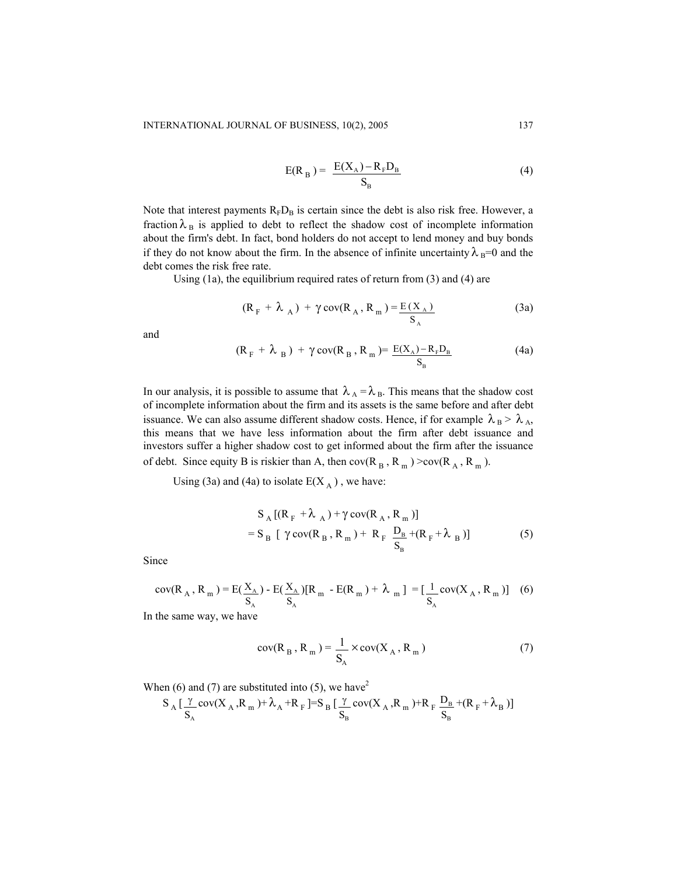$$
E(R_B) = \frac{E(X_A) - R_F D_B}{S_B} \tag{4}
$$

Note that interest payments  $R_F D_B$  is certain since the debt is also risk free. However, a fraction  $\lambda_B$  is applied to debt to reflect the shadow cost of incomplete information about the firm's debt. In fact, bond holders do not accept to lend money and buy bonds if they do not know about the firm. In the absence of infinite uncertainty  $\lambda_B=0$  and the debt comes the risk free rate.

Using (1a), the equilibrium required rates of return from (3) and (4) are

$$
(\mathbf{R}_{\mathrm{F}} + \lambda_{\mathrm{A}}) + \gamma \operatorname{cov}(\mathbf{R}_{\mathrm{A}}, \mathbf{R}_{\mathrm{m}}) = \frac{\mathrm{E}(\mathbf{X}_{\mathrm{A}})}{\mathrm{S}_{\mathrm{A}}} \tag{3a}
$$

and

$$
(RF + \lambdaB) + \gamma cov(RB, Rm) = E(XA) - RFDB
$$
 (4a)

In our analysis, it is possible to assume that  $\lambda_A = \lambda_B$ . This means that the shadow cost of incomplete information about the firm and its assets is the same before and after debt issuance. We can also assume different shadow costs. Hence, if for example  $\lambda_B > \lambda_A$ , this means that we have less information about the firm after debt issuance and investors suffer a higher shadow cost to get informed about the firm after the issuance of debt. Since equity B is riskier than A, then  $cov(R_B, R_m)$  >cov( $R_A, R_m$ ).

Using (3a) and (4a) to isolate  $E(X_A)$ , we have:

$$
S_A [(R_F + \lambda_A) + \gamma \text{ cov}(R_A, R_m)]
$$
  
=  $S_B [\gamma \text{ cov}(R_B, R_m) + R_F \frac{D_B}{S_B} + (R_F + \lambda_B)]$  (5)

Since

$$
cov(R_A, R_m) = E(\frac{X_A}{S_A}) - E(\frac{X_A}{S_A})[R_m - E(R_m) + \lambda_m] = [\frac{1}{S_A} cov(X_A, R_m)]
$$
 (6)

In the same way, we have

$$
cov(R_B, R_m) = \frac{1}{S_A} \times cov(X_A, R_m)
$$
 (7)

When (6) and (7) are substituted into (5), we have<sup>2</sup>

$$
S_{\;A}\left[\frac{\gamma}{S_{_{A}}}cov(X_{\;A}\,,R_{\;m}\,)+\lambda_{A}+R_{\;F}\left.\right]\rightleftharpoons S_{\;B}\left[\frac{\gamma}{S_{_{B}}}cov(X_{\;A}\,,R_{\;m}\,)+R_{\;F}\,\frac{D_{_{B}}}{S_{_{B}}}+(R_{\;F}+\lambda_{_{B}}\,) \right]
$$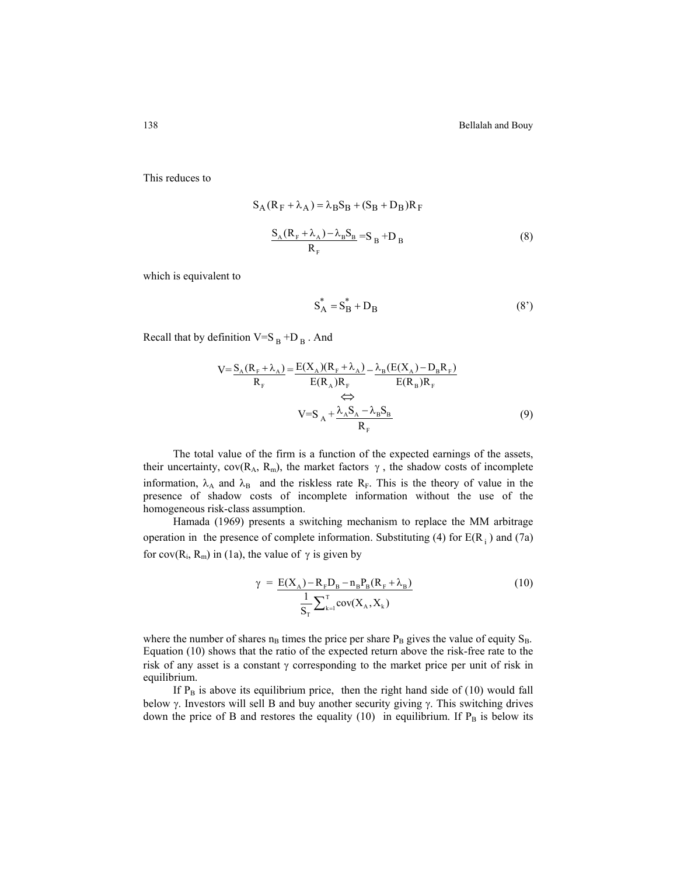This reduces to

$$
S_A (R_F + \lambda_A) = \lambda_B S_B + (S_B + D_B) R_F
$$
  

$$
\frac{S_A (R_F + \lambda_A) - \lambda_B S_B}{R_F} = S_B + D_B
$$
 (8)

which is equivalent to

$$
S_A^* = S_B^* + D_B \tag{8'}
$$

Recall that by definition  $V=S_B + D_B$ . And

$$
V = \frac{S_A (R_F + \lambda_A)}{R_F} = \frac{E(X_A)(R_F + \lambda_A)}{E(R_A)R_F} - \frac{\lambda_B (E(X_A) - D_B R_F)}{E(R_B)R_F}
$$
  
\n
$$
\Leftrightarrow
$$
  
\n
$$
V = S_A + \frac{\lambda_A S_A - \lambda_B S_B}{R_F}
$$
 (9)

The total value of the firm is a function of the expected earnings of the assets, their uncertainty,  $cov(R_A, R_m)$ , the market factors  $\gamma$ , the shadow costs of incomplete information,  $\lambda_A$  and  $\lambda_B$  and the riskless rate R<sub>F</sub>. This is the theory of value in the presence of shadow costs of incomplete information without the use of the homogeneous risk-class assumption.

Hamada (1969) presents a switching mechanism to replace the MM arbitrage operation in the presence of complete information. Substituting (4) for  $E(R_i)$  and (7a) for cov( $R_i$ ,  $R_m$ ) in (1a), the value of  $\gamma$  is given by

$$
\gamma = \frac{E(X_A) - R_F D_B - n_B P_B (R_F + \lambda_B)}{\frac{1}{S_T} \sum_{k=1}^{T} cov(X_A, X_k)}
$$
(10)

where the number of shares  $n_B$  times the price per share  $P_B$  gives the value of equity  $S_B$ . Equation (10) shows that the ratio of the expected return above the risk-free rate to the risk of any asset is a constant  $\gamma$  corresponding to the market price per unit of risk in equilibrium.

If  $P_B$  is above its equilibrium price, then the right hand side of (10) would fall below γ. Investors will sell B and buy another security giving γ. This switching drives down the price of B and restores the equality (10) in equilibrium. If  $P_B$  is below its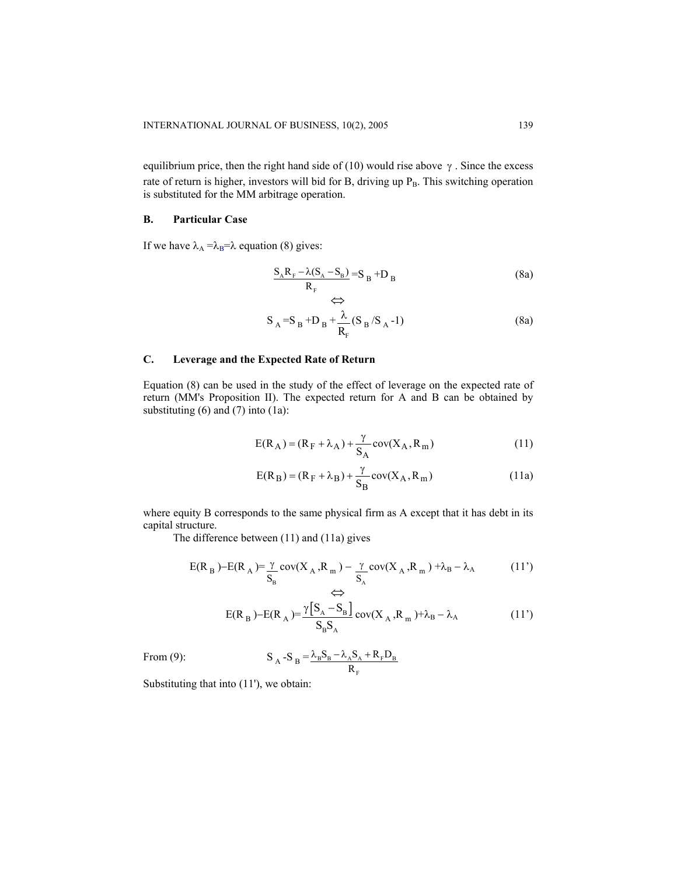equilibrium price, then the right hand side of (10) would rise above  $\gamma$ . Since the excess rate of return is higher, investors will bid for B, driving up P<sub>B</sub>. This switching operation is substituted for the MM arbitrage operation.

## **B. Particular Case**

If we have  $\lambda_A = \lambda_B = \lambda$  equation (8) gives:

$$
\frac{S_A R_F - \lambda (S_A - S_B)}{R_F} = S_B + D_B
$$
 (8a)

$$
S_A = S_B + D_B + \frac{\lambda}{R_F} (S_B / S_A - 1)
$$
 (8a)

## **C. Leverage and the Expected Rate of Return**

Equation (8) can be used in the study of the effect of leverage on the expected rate of return (MM's Proposition II). The expected return for A and B can be obtained by substituting  $(6)$  and  $(7)$  into  $(1a)$ :

$$
E(R_A) = (R_F + \lambda_A) + \frac{\gamma}{S_A} cov(X_A, R_m)
$$
\n(11)

$$
E(R_B) = (R_F + \lambda_B) + \frac{\gamma}{S_B} cov(X_A, R_m)
$$
\n(11a)

where equity B corresponds to the same physical firm as A except that it has debt in its capital structure.

The difference between (11) and (11a) gives

$$
E(R_B) - E(R_A) = \frac{\gamma}{S_B} cov(X_A, R_m) - \frac{\gamma}{S_A} cov(X_A, R_m) + \lambda_B - \lambda_A
$$
 (11')

$$
E(R_B) - E(R_A) = \frac{\gamma [S_A - S_B]}{S_B S_A} cov(X_A, R_m) + \lambda_B - \lambda_A
$$
 (11')

From (9): 
$$
S_A - S_B = \frac{\lambda_B S_B - \lambda_A S_A + R_F D_B}{R_F}
$$

Substituting that into (11'), we obtain: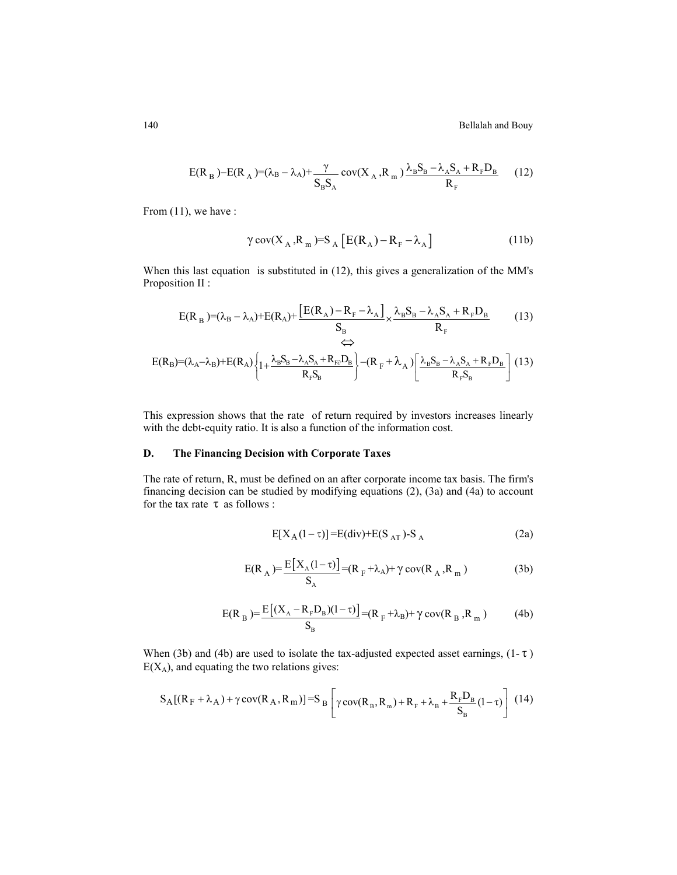$$
E(R_B) - E(R_A) = (\lambda_B - \lambda_A) + \frac{\gamma}{S_B S_A} cov(X_A, R_m) \frac{\lambda_B S_B - \lambda_A S_A + R_F D_B}{R_F}
$$
 (12)

From  $(11)$ , we have :

$$
\gamma \operatorname{cov}(X_A, R_m) = S_A \left[ E(R_A) - R_F - \lambda_A \right]
$$
 (11b)

When this last equation is substituted in (12), this gives a generalization of the MM's Proposition II :

$$
E(R_B) = (\lambda_B - \lambda_A) + E(R_A) + \frac{[E(R_A) - R_F - \lambda_A]}{S_B} \times \frac{\lambda_B S_B - \lambda_A S_A + R_F D_B}{R_F}
$$
(13)  
\n
$$
\Leftrightarrow
$$
  
\n
$$
E(R_B) = (\lambda_A - \lambda_B) + E(R_A) \left\{ 1 + \frac{\lambda_B S_B - \lambda_A S_A + R_{F\partial} D_B}{R_F S_B} \right\} - (R_F + \lambda_A) \left[ \frac{\lambda_B S_B - \lambda_A S_A + R_F D_B}{R_F S_B} \right]
$$
(13)

This expression shows that the rate of return required by investors increases linearly with the debt-equity ratio. It is also a function of the information cost.

# **D. The Financing Decision with Corporate Taxes**

The rate of return, R, must be defined on an after corporate income tax basis. The firm's financing decision can be studied by modifying equations (2), (3a) and (4a) to account for the tax rate  $\tau$  as follows :

$$
E[X_A(1-\tau)] = E(\text{div}) + E(S_{AT}) - S_A
$$
 (2a)

$$
E(R_A) = \frac{E[X_A(1-\tau)]}{S_A} = (R_F + \lambda_A) + \gamma cov(R_A, R_m)
$$
 (3b)

$$
E(R_B) = \frac{E[(X_A - R_F D_B)(1 - \tau)]}{S_B} = (R_F + \lambda_B) + \gamma \, cov(R_B, R_m)
$$
 (4b)

When (3b) and (4b) are used to isolate the tax-adjusted expected asset earnings,  $(1-\tau)$  $E(X_A)$ , and equating the two relations gives:

$$
S_A[(R_F + \lambda_A) + \gamma \operatorname{cov}(R_A, R_m)] = S_B \left[ \gamma \operatorname{cov}(R_B, R_m) + R_F + \lambda_B + \frac{R_F D_B}{S_B} (1 - \tau) \right] (14)
$$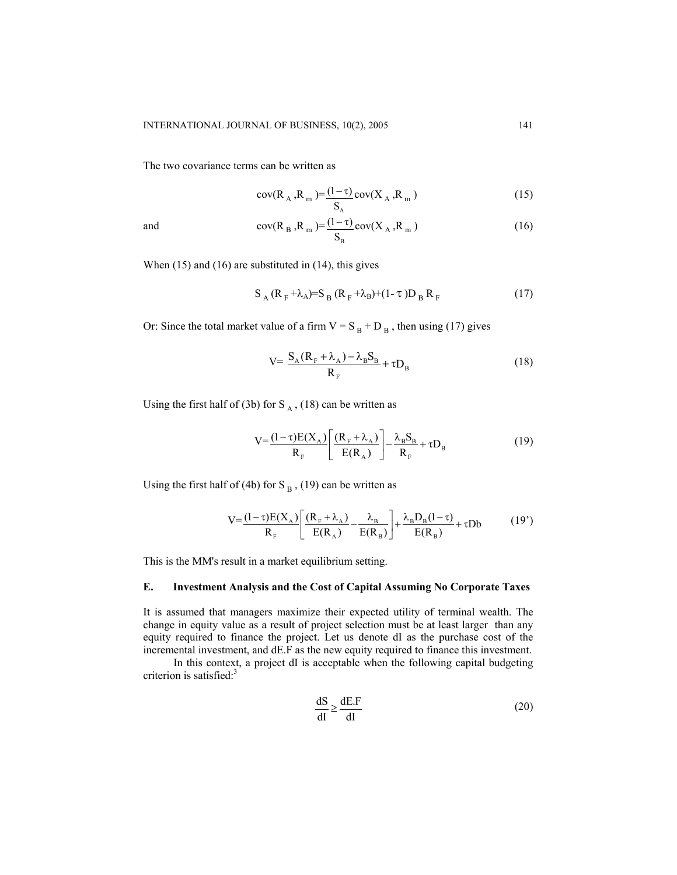The two covariance terms can be written as

$$
cov(R_A, R_m) = \frac{(1-\tau)}{S_A} cov(X_A, R_m)
$$
\n(15)

and 
$$
cov(R_B, R_m) = \frac{(1-\tau)}{S_B} cov(X_A, R_m)
$$
 (16)

When (15) and (16) are substituted in (14), this gives

$$
S_A (R_F + \lambda_A) = S_B (R_F + \lambda_B) + (1 - \tau) D_B R_F
$$
 (17)

Or: Since the total market value of a firm  $V = S_B + D_B$ , then using (17) gives

$$
V = \frac{S_A (R_F + \lambda_A) - \lambda_B S_B}{R_F} + \tau D_B
$$
\n(18)

Using the first half of (3b) for  $S_A$ , (18) can be written as

$$
V = \frac{(1 - \tau)E(X_A)}{R_F} \left[ \frac{(R_F + \lambda_A)}{E(R_A)} \right] - \frac{\lambda_B S_B}{R_F} + \tau D_B
$$
(19)

Using the first half of (4b) for S<sub>B</sub>, (19) can be written as

$$
V = \frac{(1-\tau)E(X_A)}{R_F} \left[ \frac{(R_F + \lambda_A)}{E(R_A)} - \frac{\lambda_B}{E(R_B)} \right] + \frac{\lambda_B D_B (1-\tau)}{E(R_B)} + \tau Db
$$
 (19')

This is the MM's result in a market equilibrium setting.

## **E. Investment Analysis and the Cost of Capital Assuming No Corporate Taxes**

It is assumed that managers maximize their expected utility of terminal wealth. The change in equity value as a result of project selection must be at least larger than any equity required to finance the project. Let us denote dI as the purchase cost of the incremental investment, and dE.F as the new equity required to finance this investment.

In this context, a project dI is acceptable when the following capital budgeting criterion is satisfied:<sup>3</sup>

$$
\frac{dS}{dl} \ge \frac{dE.F}{dl}
$$
 (20)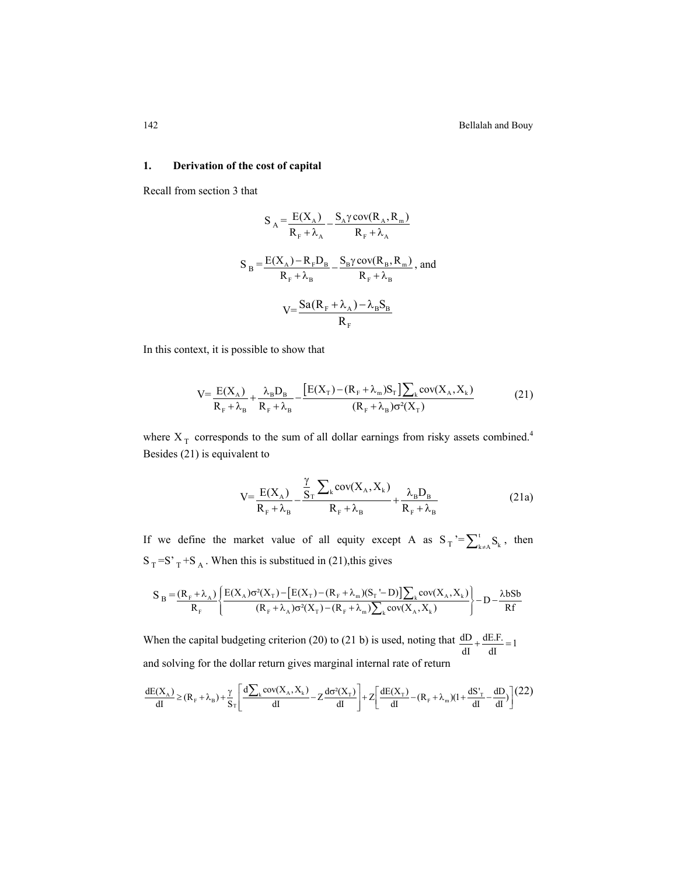## **1. Derivation of the cost of capital**

Recall from section 3 that

$$
S_A = \frac{E(X_A)}{R_F + \lambda_A} - \frac{S_A \gamma \text{ cov}(R_A, R_m)}{R_F + \lambda_A}
$$
  

$$
S_B = \frac{E(X_A) - R_F D_B}{R_F + \lambda_B} - \frac{S_B \gamma \text{ cov}(R_B, R_m)}{R_F + \lambda_B}, \text{ and}
$$
  

$$
V = \frac{Sa(R_F + \lambda_A) - \lambda_B S_B}{R_F}
$$

In this context, it is possible to show that

$$
V = \frac{E(X_A)}{R_F + \lambda_B} + \frac{\lambda_B D_B}{R_F + \lambda_B} - \frac{[E(X_T) - (R_F + \lambda_m)S_T] \sum_k cov(X_A, X_k)}{(R_F + \lambda_B) \sigma^2(X_T)}
$$
(21)

where  $X_T$  corresponds to the sum of all dollar earnings from risky assets combined.<sup>4</sup> Besides (21) is equivalent to

$$
V = \frac{E(X_A)}{R_F + \lambda_B} - \frac{\frac{\gamma}{S_T} \sum_{k} cov(X_A, X_k)}{R_F + \lambda_B} + \frac{\lambda_B D_B}{R_F + \lambda_B}
$$
(21a)

If we define the market value of all equity except A as  $S_T = \sum_{k=1}^{t} S_k$ , then  $S_T = S'_T + S_A$ . When this is substitued in (21), this gives

$$
S_B = \frac{(R_F + \lambda_A)}{R_F} \left\{ \frac{E(X_A)\sigma^2(X_T) - [E(X_T) - (R_F + \lambda_m)(S_T - D)]\sum_k cov(X_A, X_k)}{(R_F + \lambda_A)\sigma^2(X_T) - (R_F + \lambda_m)\sum_k cov(X_A, X_k)} \right\} - D - \frac{\lambda bSb}{Rf}
$$

When the capital budgeting criterion (20) to (21 b) is used, noting that  $\frac{dD}{dI} + \frac{dE.F.}{dI} = 1$ and solving for the dollar return gives marginal internal rate of return

$$
\frac{dE(X_A)}{dI} \geq (R_F + \lambda_B) + \frac{\gamma}{S_T} \left[ \frac{d\sum_k cov(X_A, X_k)}{dI} - Z \frac{d\sigma^2(X_T)}{dI} \right] + Z \left[ \frac{dE(X_T)}{dI} - (R_F + \lambda_m)(I + \frac{dS_T}{dI} - \frac{dD}{dI}) \right] \tag{22}
$$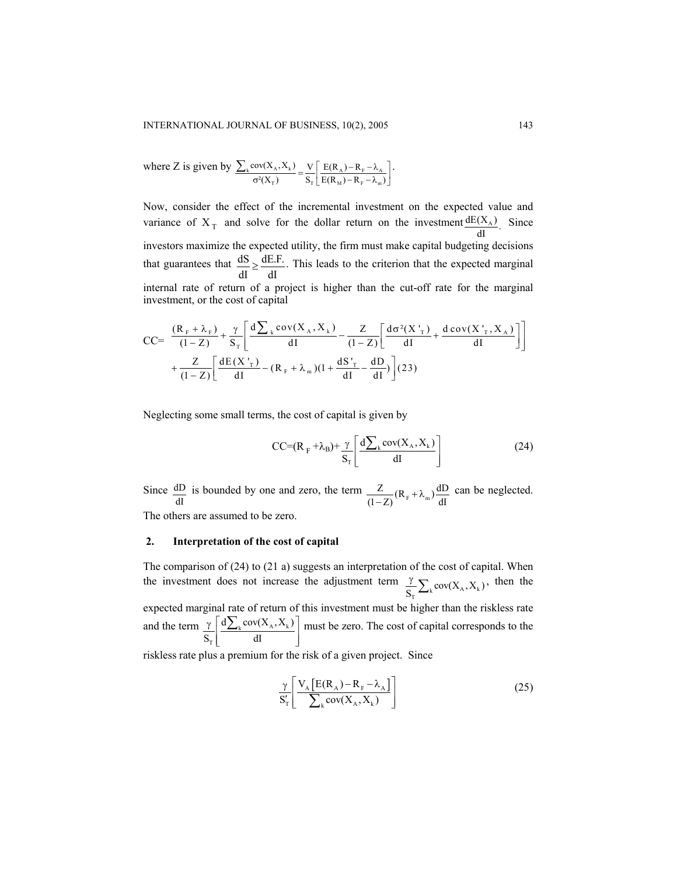where Z is given by  $\sum_{k} cov(X_A, X_k) - V \mid E(R_A)$  $T$   $T$   $T_{\text{t}}$   $T_{\text{t}}$  $cov(X_A, X_k)$   $V \mid E(R_A) - R$  $\frac{\lambda_{\rm F}^{(1)}(X_{\rm A})}{\lambda_{\rm F}^2} = \frac{\lambda_{\rm F}}{S_{\rm F}} = \frac{E(K_{\rm A}) - K_{\rm F}}{E(R_{\rm M}) - R_{\rm F} - \lambda_{\rm m}}$  $\frac{\sum_{k}cov(X_{A}, X_{k})}{\sigma^{2}(X_{T})} = \frac{V}{S_{T}} \left[ \frac{E(R_{A}) - R_{F} - \lambda_{A}}{E(R_{M}) - R_{F} - \lambda_{m}} \right].$ 

Now, consider the effect of the incremental investment on the expected value and variance of  $X_T$  and solve for the dollar return on the investment  $\frac{dE(X_A)}{dI}$ . Since investors maximize the expected utility, the firm must make capital budgeting decisions that guarantees that  $\frac{dS}{dt} \geq \frac{dE.F.}{dt}$  $dI$  dI  $\geq \frac{Q.E.F.}{V}$ . This leads to the criterion that the expected marginal internal rate of return of a project is higher than the cut-off rate for the marginal investment, or the cost of capital

$$
CC = \frac{(R_F + \lambda_F)}{(1 - Z)} + \frac{\gamma}{S_T} \left[ \frac{d\sum_{k} cov(X_A, X_k)}{dI} - \frac{Z}{(1 - Z)} \left[ \frac{d\sigma^2(X'_{T})}{dI} + \frac{d\sigma(X'_{T}, X_A)}{dI} \right] \right] + \frac{Z}{(1 - Z)} \left[ \frac{dE(X'_{T})}{dI} - (R_F + \lambda_m)(1 + \frac{dS'_{T}}{dI} - \frac{dD}{dI}) \right] (23)
$$

Neglecting some small terms, the cost of capital is given by

$$
CC=(R_{F}+\lambda_{B})+\frac{\gamma}{S_{T}}\left[\frac{d\sum_{k}cov(X_{A},X_{k})}{dl}\right]
$$
\n(24)

Since  $\underline{dD}$  $\frac{dD}{dI}$  is bounded by one and zero, the term  $\frac{Z}{(1-Z)}(R_F + \lambda_m) \frac{dD}{dI}$  can be neglected. The others are assumed to be zero.

## **2. Interpretation of the cost of capital**

The comparison of (24) to (21 a) suggests an interpretation of the cost of capital. When the investment does not increase the adjustment term  $\frac{\gamma}{S_T} \sum_k cov(X_A, X_k)$ , then the expected marginal rate of return of this investment must be higher than the riskless rate and the term  $\gamma \frac{d\sum_{k} cov(X_{A}, X_{k})}{d\sum_{k} cov(X_{A}, X_{k})}$ T  $d\sum_{\alpha} cov(X_{\alpha}, X_{\alpha})$  $S_T$  dI  $\frac{\gamma}{S_T} \left[ \frac{d \sum_k cov(X_A, X_k)}{dI} \right]$  $\frac{\sum_{k} cov(X_A, X_k)}{m}$  must be zero. The cost of capital corresponds to the

riskless rate plus a premium for the risk of a given project. Since

$$
\frac{\gamma}{S'_{T}} \left[ \frac{V_{A} \left[ E(R_A) - R_{F} - \lambda_{A} \right]}{\sum_{k} cov(X_A, X_k)} \right]
$$
\n(25)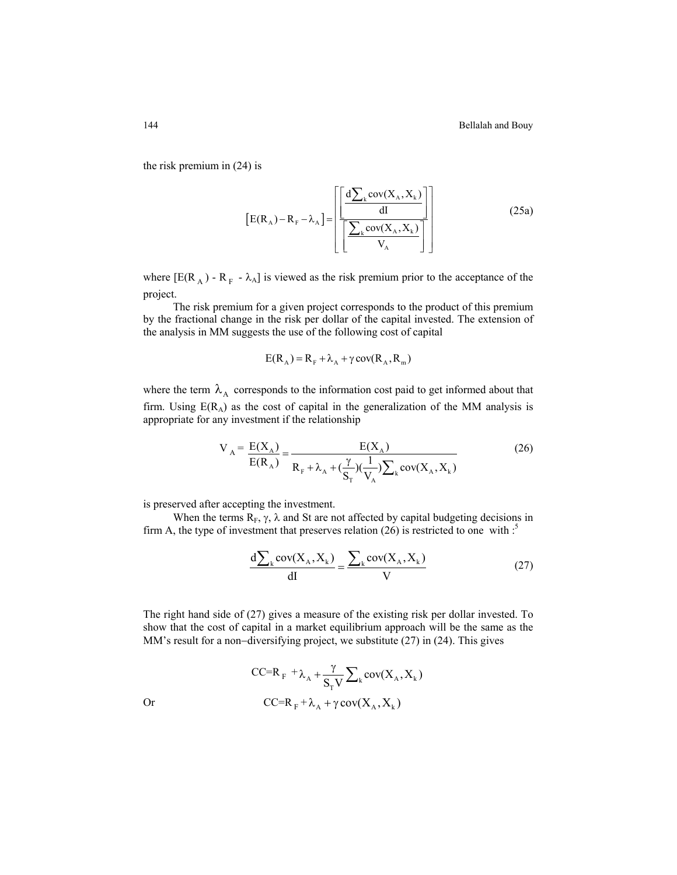the risk premium in (24) is

$$
\left[E(R_A) - R_F - \lambda_A\right] = \left[\frac{\left[\frac{d\sum_{k} cov(X_A, X_k)}{dI}\right]}{\left[\frac{\sum_{k} cov(X_A, X_k)}{V_A}\right]}\right]
$$
(25a)

where  $[E(R_A) - R_F - \lambda_A]$  is viewed as the risk premium prior to the acceptance of the project.

The risk premium for a given project corresponds to the product of this premium by the fractional change in the risk per dollar of the capital invested. The extension of the analysis in MM suggests the use of the following cost of capital

$$
E(R_A) = R_F + \lambda_A + \gamma \, cov(R_A, R_m)
$$

where the term  $\lambda_A$  corresponds to the information cost paid to get informed about that firm. Using  $E(R_A)$  as the cost of capital in the generalization of the MM analysis is appropriate for any investment if the relationship

$$
V_A = \frac{E(X_A)}{E(R_A)} = \frac{E(X_A)}{R_F + \lambda_A + (\frac{\gamma}{S_T})(\frac{1}{V_A})\sum_k cov(X_A, X_k)}
$$
(26)

is preserved after accepting the investment.

When the terms  $R_F$ ,  $\gamma$ ,  $\lambda$  and St are not affected by capital budgeting decisions in firm A, the type of investment that preserves relation (26) is restricted to one with  $\cdot$ <sup>5</sup>

$$
\frac{d\sum_{k} cov(X_A, X_k)}{dI} = \frac{\sum_{k} cov(X_A, X_k)}{V}
$$
 (27)

The right hand side of (27) gives a measure of the existing risk per dollar invested. To show that the cost of capital in a market equilibrium approach will be the same as the MM's result for a non−diversifying project, we substitute (27) in (24). This gives

$$
CC=R_F + \lambda_A + \frac{\gamma}{S_T V} \sum_{k} cov(X_A, X_k)
$$
  
or  

$$
CC=R_F + \lambda_A + \gamma cov(X_A, X_k)
$$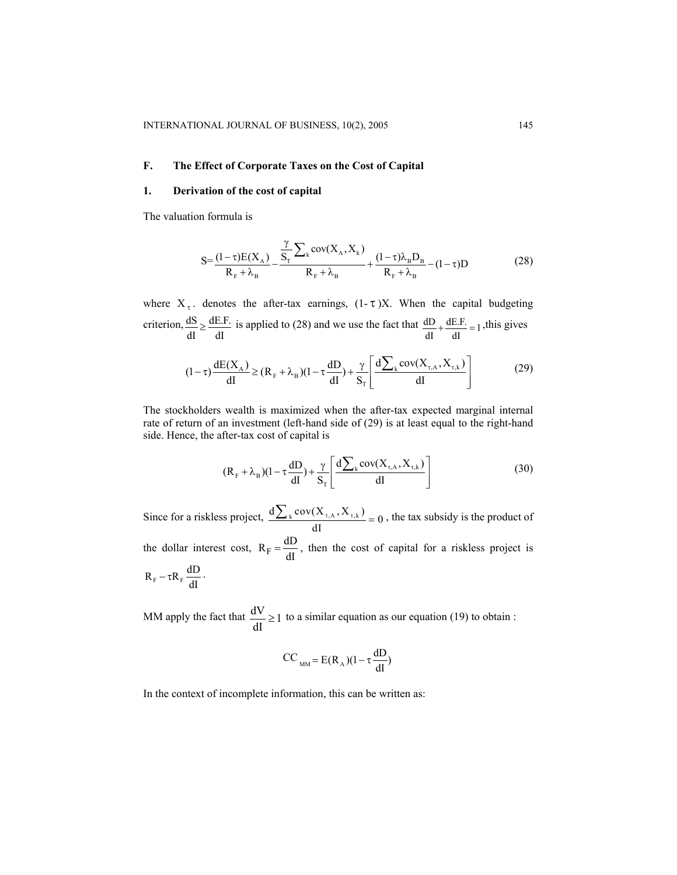## **F. The Effect of Corporate Taxes on the Cost of Capital**

## **1. Derivation of the cost of capital**

The valuation formula is

$$
S = \frac{(1-\tau)E(X_A)}{R_F + \lambda_B} - \frac{\frac{\gamma}{S_T} \sum_{k} cov(X_A, X_k)}{R_F + \lambda_B} + \frac{(1-\tau)\lambda_B D_B}{R_F + \lambda_B} - (1-\tau)D
$$
(28)

where  $X_{\tau}$ . denotes the after-tax earnings,  $(1-\tau)X$ . When the capital budgeting criterion,  $\frac{dS}{dt}$ dI dE.F.  $\geq \frac{dE.F.}{dI}$  is applied to (28) and we use the fact that  $\frac{dD}{dI} + \frac{dE.F.}{dI} = 1$ , this gives

$$
(1-\tau)\frac{dE(X_A)}{dI} \ge (R_F + \lambda_B)(1-\tau\frac{dD}{dI}) + \frac{\gamma}{S_T} \left[ \frac{d\sum_{k} cov(X_{\tau,A}, X_{\tau,k})}{dI} \right]
$$
(29)

The stockholders wealth is maximized when the after-tax expected marginal internal rate of return of an investment (left-hand side of (29) is at least equal to the right-hand side. Hence, the after-tax cost of capital is

$$
(R_{F} + \lambda_{B})(1 - \tau \frac{dD}{dI}) + \frac{\gamma}{S_{T}} \left[ \frac{d \sum_{k} cov(X_{\tau, A}, X_{\tau, k})}{dI} \right]
$$
(30)

Since for a riskless project,  $\frac{d\sum_{k} cov(X_{\tau,A}, X_{\tau,k})}{dI} = 0$ , the tax subsidy is the product of the dollar interest cost,  $R_F = \frac{dD}{dl}$ , then the cost of capital for a riskless project is  $R_F - \tau R_F \frac{dD}{dI}$ .

MM apply the fact that  $\frac{dV}{dt} \ge 1$ dI  $\geq$  1 to a similar equation as our equation (19) to obtain :

$$
CC_{_{MM}} = E(R_A)(1 - \tau \frac{dD}{dI})
$$

In the context of incomplete information, this can be written as: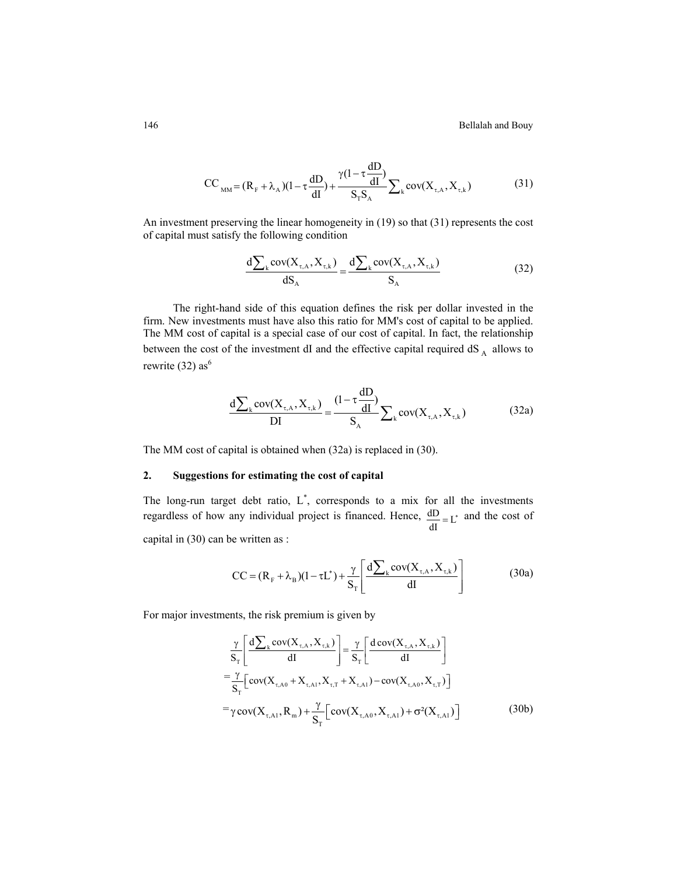$$
CC_{_{MM}} = (R_{F} + \lambda_{A})(1 - \tau \frac{dD}{dI}) + \frac{\gamma(1 - \tau \frac{dD}{dI})}{S_{T}S_{A}} \sum_{k} cov(X_{\tau, A}, X_{\tau, k})
$$
(31)

An investment preserving the linear homogeneity in (19) so that (31) represents the cost of capital must satisfy the following condition

$$
\frac{d\sum_{k} cov(X_{\tau,A}, X_{\tau,k})}{dS_A} = \frac{d\sum_{k} cov(X_{\tau,A}, X_{\tau,k})}{S_A}
$$
(32)

The right-hand side of this equation defines the risk per dollar invested in the firm. New investments must have also this ratio for MM's cost of capital to be applied. The MM cost of capital is a special case of our cost of capital. In fact, the relationship between the cost of the investment dI and the effective capital required  $dS_A$  allows to rewrite (32) as<sup>6</sup>

$$
\frac{d\sum_{k} cov(X_{\tau,A}, X_{\tau,k})}{DI} = \frac{(1 - \tau \frac{dD}{dI})}{S_A} \sum_{k} cov(X_{\tau,A}, X_{\tau,k})
$$
(32a)

The MM cost of capital is obtained when (32a) is replaced in (30).

## **2. Suggestions for estimating the cost of capital**

The long-run target debt ratio,  $L^*$ , corresponds to a mix for all the investments regardless of how any individual project is financed. Hence,  $\frac{dD}{dI} = L^*$  and the cost of capital in (30) can be written as :

$$
CC = (RF + \lambdaB)(1 - \tau L*) + \frac{\gamma}{ST} \left[ \frac{d\sum_{k} cov(X_{\tau,A}, X_{\tau,k})}{dI} \right]
$$
(30a)

For major investments, the risk premium is given by

$$
\frac{\gamma}{S_{T}} \left[ \frac{d \sum_{k} cov(X_{\tau,A}, X_{\tau,k})}{dI} \right] = \frac{\gamma}{S_{T}} \left[ \frac{d cov(X_{\tau,A}, X_{\tau,k})}{dI} \right]
$$
\n
$$
= \frac{\gamma}{S_{T}} \left[ cov(X_{\tau,A0} + X_{\tau,A1}, X_{\tau,T} + X_{\tau,A1}) - cov(X_{\tau,A0}, X_{\tau,T}) \right]
$$
\n
$$
= \gamma cov(X_{\tau,A1}, R_{m}) + \frac{\gamma}{S_{T}} \left[ cov(X_{\tau,A0}, X_{\tau,A1}) + \sigma^{2}(X_{\tau,A1}) \right]
$$
\n(30b)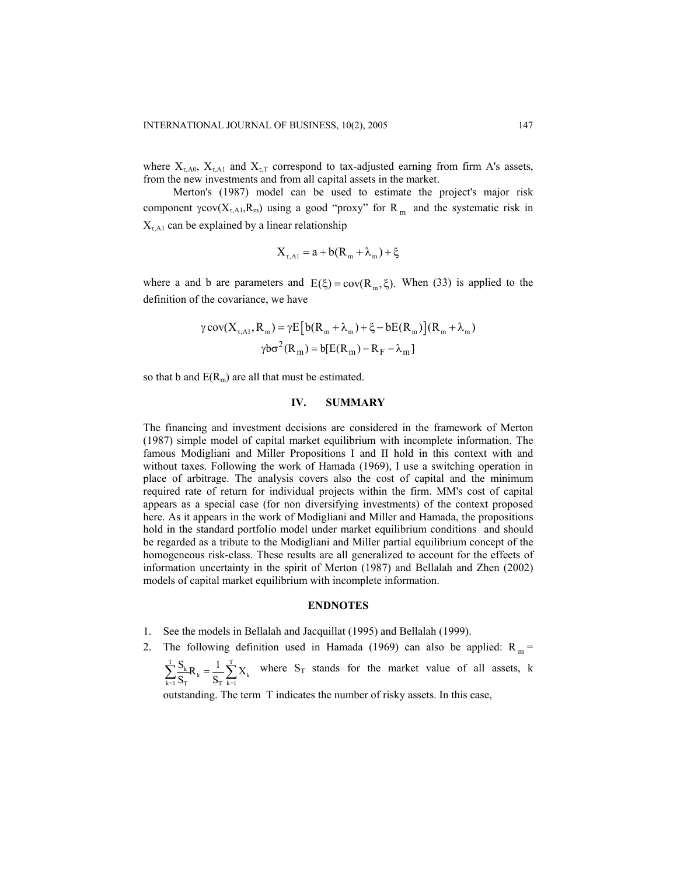where  $X_{\tau,A0}$ ,  $X_{\tau,A1}$  and  $X_{\tau,T}$  correspond to tax-adjusted earning from firm A's assets, from the new investments and from all capital assets in the market.

Merton's (1987) model can be used to estimate the project's major risk component  $\gamma cov(X_{\tau,A1}, R_m)$  using a good "proxy" for  $R_m$  and the systematic risk in  $X_{\tau,A1}$  can be explained by a linear relationship

$$
X_{\tau, A1} = a + b(R_m + \lambda_m) + \xi
$$

where a and b are parameters and  $E(\xi) = cov(R_m, \xi)$ . When (33) is applied to the definition of the covariance, we have

$$
\gamma \text{cov}(X_{\tau,A1}, R_m) = \gamma E \left[ b(R_m + \lambda_m) + \xi - bE(R_m) \right] (R_m + \lambda_m)
$$

$$
\gamma b \sigma^2 (R_m) = b [E(R_m) - R_F - \lambda_m]
$$

so that b and  $E(R_m)$  are all that must be estimated.

## **IV. SUMMARY**

The financing and investment decisions are considered in the framework of Merton (1987) simple model of capital market equilibrium with incomplete information. The famous Modigliani and Miller Propositions I and II hold in this context with and without taxes. Following the work of Hamada (1969), I use a switching operation in place of arbitrage. The analysis covers also the cost of capital and the minimum required rate of return for individual projects within the firm. MM's cost of capital appears as a special case (for non diversifying investments) of the context proposed here. As it appears in the work of Modigliani and Miller and Hamada, the propositions hold in the standard portfolio model under market equilibrium conditions and should be regarded as a tribute to the Modigliani and Miller partial equilibrium concept of the homogeneous risk-class. These results are all generalized to account for the effects of information uncertainty in the spirit of Merton (1987) and Bellalah and Zhen (2002) models of capital market equilibrium with incomplete information.

#### **ENDNOTES**

- 1. See the models in Bellalah and Jacquillat (1995) and Bellalah (1999).
- 2. The following definition used in Hamada (1969) can also be applied:  $R_m$  =
	- $\sum_{k=1}^{T} \frac{S_k}{S_T} R_k = \frac{1}{S_T} \sum_{k=1}^{T}$  $\sum_{k=1}^{T} \frac{S_k}{S_T} R_k = \frac{1}{S_T} \sum_{k=1}^{T} X_k$  where  $S_T$  stands for the market value of all assets, k

outstanding. The term T indicates the number of risky assets. In this case,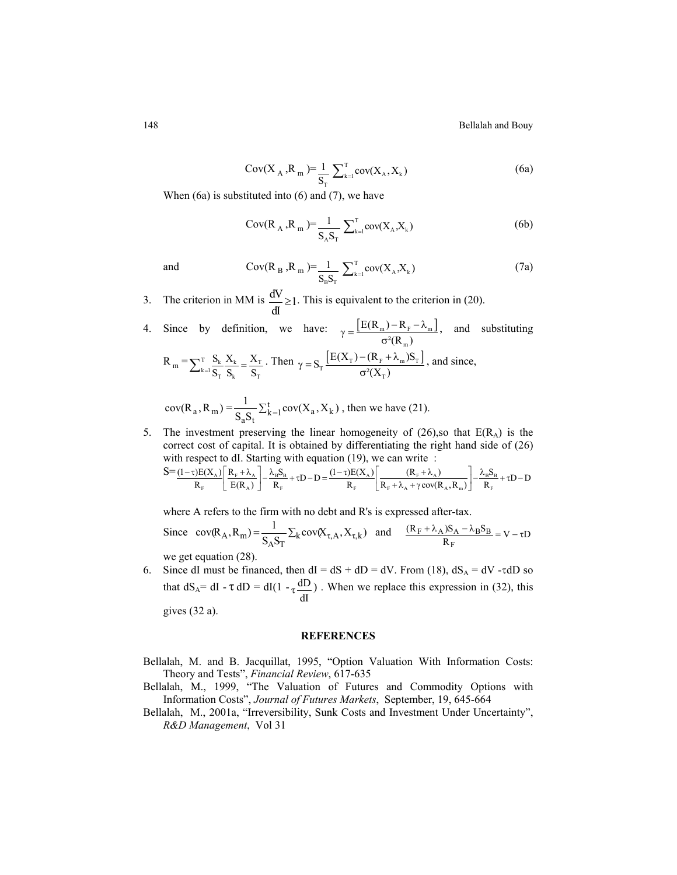$$
Cov(X_A, R_m) = \frac{1}{S_T} \sum_{k=1}^{T} cov(X_A, X_k)
$$
 (6a)

When  $(6a)$  is substituted into  $(6)$  and  $(7)$ , we have

$$
Cov(R_A, R_m) = \frac{1}{S_A S_T} \sum_{k=1}^{T} cov(X_A, X_k)
$$
 (6b)

and 
$$
Cov(R_B, R_m) = \frac{1}{S_B S_T} \sum_{k=1}^{T} cov(X_A, X_k)
$$
 (7a)

3. The criterion in MM is  $\frac{dV}{dt} \ge 1$ dI  $\geq$ 1. This is equivalent to the criterion in (20).

4. Since by definition, we have: 
$$
\gamma = \frac{\left[E(R_m) - R_F - \lambda_m\right]}{\sigma^2(R_m)}
$$
, and substituting  
\n
$$
R_m = \sum_{k=1}^T \frac{S_k}{S_T} \frac{X_k}{S_k} = \frac{X_T}{S_T}.
$$
 Then  $\gamma = S_T \frac{\left[E(X_T) - (R_F + \lambda_m)S_T\right]}{\sigma^2(X_T)}$ , and since,  
\n
$$
cov(R_a, R_m) = \frac{1}{S_a S_t} \sum_{k=1}^t cov(X_a, X_k)
$$
, then we have (21).

5. The investment preserving the linear homogeneity of (26), so that  $E(R_A)$  is the correct cost of capital. It is obtained by differentiating the right hand side of (26) with respect to dI. Starting with equation (19), we can write :

$$
S = \underbrace{(1-\tau)E(X_A)}_{R_F} \left[ \frac{R_F + \lambda_A}{E(R_A)} \right] - \frac{\lambda_B S_B}{R_F} + \tau D - D = \underbrace{(1-\tau)E(X_A)}_{R_F} \left[ \frac{(R_F + \lambda_A)}{R_F + \lambda_A + \gamma \text{cov}(R_A, R_m)} \right] - \frac{\lambda_B S_B}{R_F} + \tau D - D
$$

where A refers to the firm with no debt and R's is expressed after-tax.

Since 
$$
cov(R_A, R_m) = \frac{1}{S_A S_T} \sum_k cov(X_{\tau, A}, X_{\tau, k})
$$
 and  $\frac{(R_F + \lambda_A)S_A - \lambda_B S_B}{R_F} = V - \tau D$   
we get equation (28).

6. Since dI must be financed, then  $dI = dS + dD = dV$ . From (18),  $dS_A = dV - \tau dD$  so that  $dS_A = dI - \tau dD = dI(1 - \tau \frac{dD}{dD})$  $\tau \frac{dD}{dI}$ ). When we replace this expression in (32), this gives (32 a).

#### **REFERENCES**

- Bellalah, M. and B. Jacquillat, 1995, "Option Valuation With Information Costs: Theory and Tests", *Financial Review*, 617-635
- Bellalah, M., 1999, "The Valuation of Futures and Commodity Options with Information Costs", *Journal of Futures Markets*, September, 19, 645-664
- Bellalah, M., 2001a, "Irreversibility, Sunk Costs and Investment Under Uncertainty", *R&D Management*, Vol 31